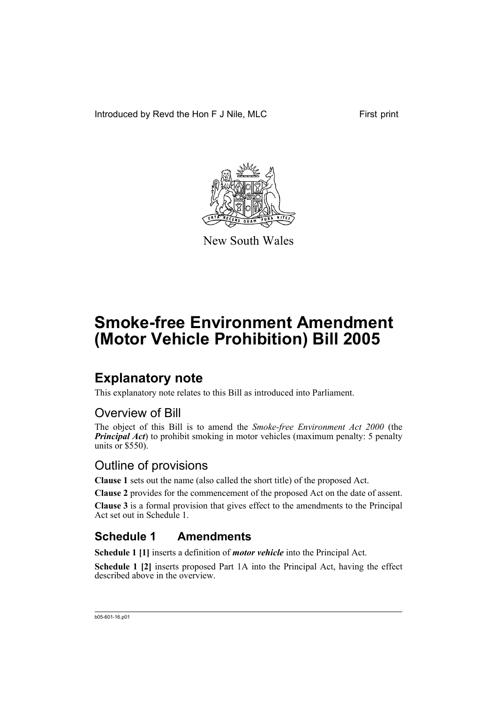Introduced by Revd the Hon F J Nile, MLC First print



New South Wales

# **Smoke-free Environment Amendment (Motor Vehicle Prohibition) Bill 2005**

### **Explanatory note**

This explanatory note relates to this Bill as introduced into Parliament.

### Overview of Bill

The object of this Bill is to amend the *Smoke-free Environment Act 2000* (the *Principal Act*) to prohibit smoking in motor vehicles (maximum penalty: 5 penalty units or  $$550$ ).

### Outline of provisions

**Clause 1** sets out the name (also called the short title) of the proposed Act.

**Clause 2** provides for the commencement of the proposed Act on the date of assent.

**Clause 3** is a formal provision that gives effect to the amendments to the Principal Act set out in Schedule 1.

### **Schedule 1 Amendments**

**Schedule 1 [1]** inserts a definition of *motor vehicle* into the Principal Act.

**Schedule 1 [2]** inserts proposed Part 1A into the Principal Act, having the effect described above in the overview.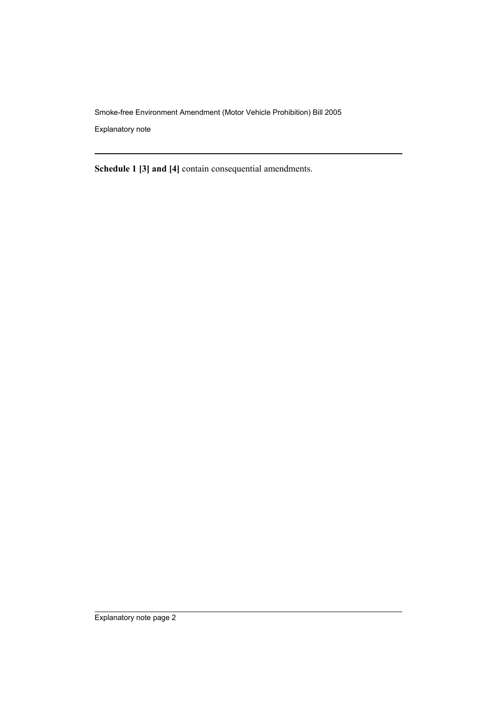Smoke-free Environment Amendment (Motor Vehicle Prohibition) Bill 2005

Explanatory note

**Schedule 1 [3] and [4]** contain consequential amendments.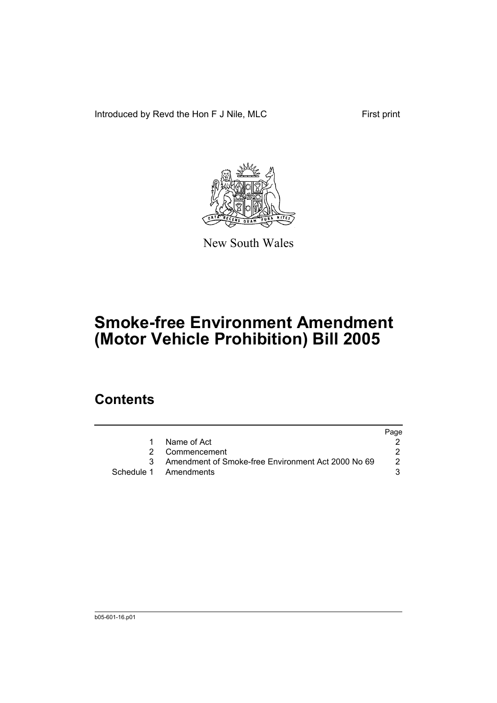Introduced by Revd the Hon F J Nile, MLC First print



New South Wales

# **Smoke-free Environment Amendment (Motor Vehicle Prohibition) Bill 2005**

### **Contents**

|                                                      | Page |
|------------------------------------------------------|------|
| 1 Name of Act                                        |      |
| 2 Commencement                                       |      |
| 3 Amendment of Smoke-free Environment Act 2000 No 69 | 2    |
| Schedule 1 Amendments                                |      |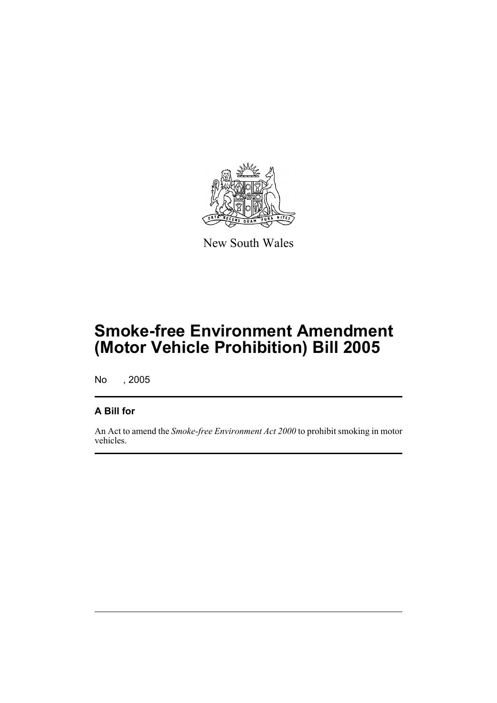

New South Wales

# **Smoke-free Environment Amendment (Motor Vehicle Prohibition) Bill 2005**

No , 2005

#### **A Bill for**

An Act to amend the *Smoke-free Environment Act 2000* to prohibit smoking in motor vehicles.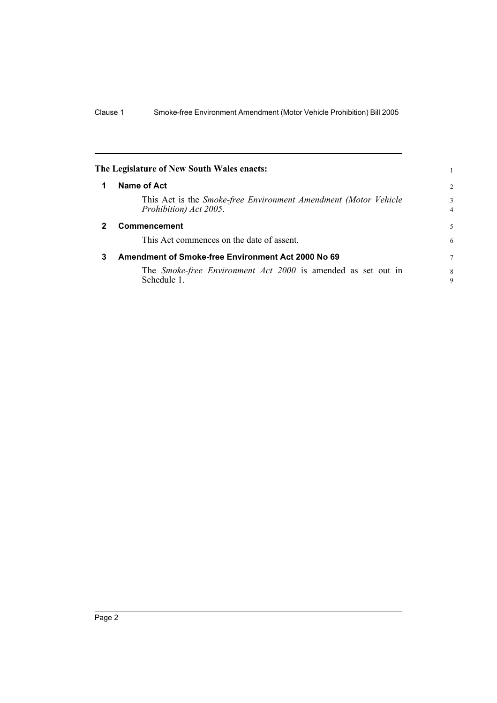<span id="page-4-2"></span><span id="page-4-1"></span><span id="page-4-0"></span>

|   | The Legislature of New South Wales enacts:                                                |                     |
|---|-------------------------------------------------------------------------------------------|---------------------|
|   | Name of Act                                                                               | $\overline{c}$      |
|   | This Act is the Smoke-free Environment Amendment (Motor Vehicle<br>Prohibition) Act 2005. | 3<br>$\overline{4}$ |
|   | <b>Commencement</b>                                                                       | 5                   |
|   | This Act commences on the date of assent.                                                 | 6                   |
| 3 | Amendment of Smoke-free Environment Act 2000 No 69                                        | $\overline{7}$      |
|   | The <i>Smoke-free Environment Act 2000</i> is amended as set out in<br>Schedule 1.        | 8<br>9              |